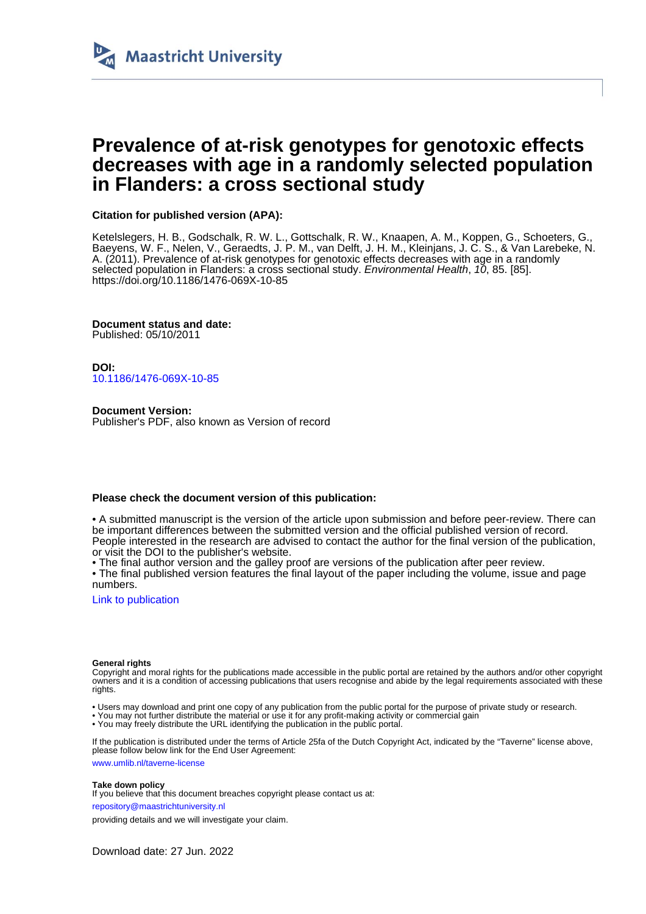

# **Prevalence of at-risk genotypes for genotoxic effects decreases with age in a randomly selected population in Flanders: a cross sectional study**

# **Citation for published version (APA):**

Ketelslegers, H. B., Godschalk, R. W. L., Gottschalk, R. W., Knaapen, A. M., Koppen, G., Schoeters, G., Baeyens, W. F., Nelen, V., Geraedts, J. P. M., van Delft, J. H. M., Kleinjans, J. C. S., & Van Larebeke, N. A. (2011). Prevalence of at-risk genotypes for genotoxic effects decreases with age in a randomly selected population in Flanders: a cross sectional study. Environmental Health, 10, 85. [85]. <https://doi.org/10.1186/1476-069X-10-85>

# **Document status and date:**

Published: 05/10/2011

**DOI:** [10.1186/1476-069X-10-85](https://doi.org/10.1186/1476-069X-10-85)

**Document Version:** Publisher's PDF, also known as Version of record

# **Please check the document version of this publication:**

• A submitted manuscript is the version of the article upon submission and before peer-review. There can be important differences between the submitted version and the official published version of record. People interested in the research are advised to contact the author for the final version of the publication, or visit the DOI to the publisher's website.

• The final author version and the galley proof are versions of the publication after peer review.

• The final published version features the final layout of the paper including the volume, issue and page numbers.

[Link to publication](https://cris.maastrichtuniversity.nl/en/publications/e169a6fa-366c-401c-b5dd-a583adb25c4d)

#### **General rights**

Copyright and moral rights for the publications made accessible in the public portal are retained by the authors and/or other copyright owners and it is a condition of accessing publications that users recognise and abide by the legal requirements associated with these rights.

- Users may download and print one copy of any publication from the public portal for the purpose of private study or research.
- You may not further distribute the material or use it for any profit-making activity or commercial gain
- You may freely distribute the URL identifying the publication in the public portal

If the publication is distributed under the terms of Article 25fa of the Dutch Copyright Act, indicated by the "Taverne" license above, please follow below link for the End User Agreement:

www.umlib.nl/taverne-license

#### **Take down policy**

If you believe that this document breaches copyright please contact us at:

repository@maastrichtuniversity.nl

providing details and we will investigate your claim.

Download date: 27 Jun. 2022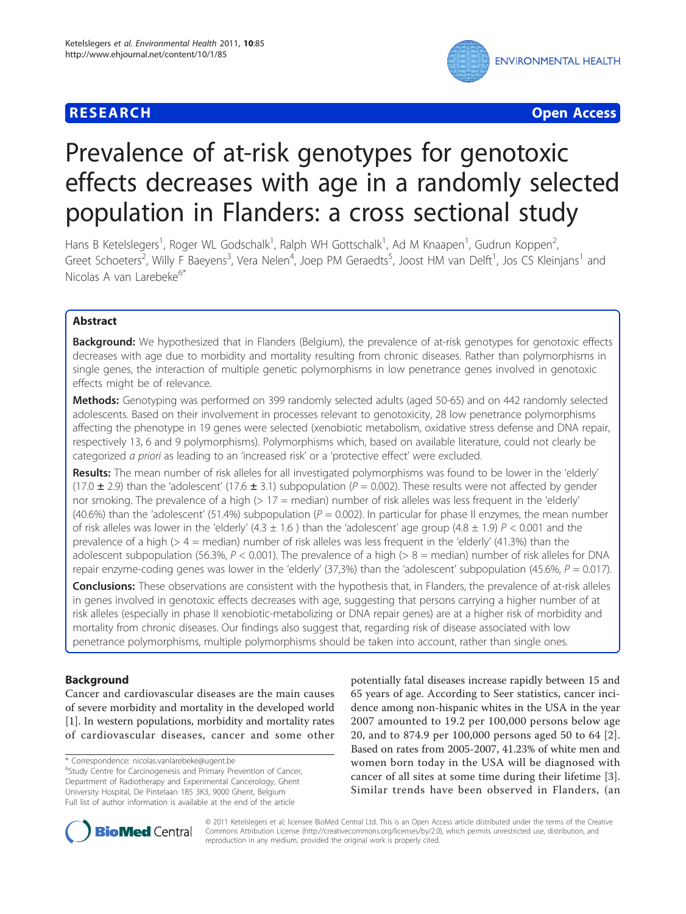# **RESEARCH CONTROL** CONTROL CONTROL CONTROL CONTROL CONTROL CONTROL CONTROL CONTROL CONTROL CONTROL CONTROL CONTROL



# Prevalence of at-risk genotypes for genotoxic effects decreases with age in a randomly selected population in Flanders: a cross sectional study

Hans B Ketelslegers<sup>1</sup>, Roger WL Godschalk<sup>1</sup>, Ralph WH Gottschalk<sup>1</sup>, Ad M Knaapen<sup>1</sup>, Gudrun Koppen<sup>2</sup> , Greet Schoeters<sup>2</sup>, Willy F Baeyens<sup>3</sup>, Vera Nelen<sup>4</sup>, Joep PM Geraedts<sup>5</sup>, Joost HM van Delft<sup>1</sup>, Jos CS Kleinjans<sup>1</sup> and Nicolas A van Larebeke<sup>6\*</sup>

# Abstract

Background: We hypothesized that in Flanders (Belgium), the prevalence of at-risk genotypes for genotoxic effects decreases with age due to morbidity and mortality resulting from chronic diseases. Rather than polymorphisms in single genes, the interaction of multiple genetic polymorphisms in low penetrance genes involved in genotoxic effects might be of relevance.

Methods: Genotyping was performed on 399 randomly selected adults (aged 50-65) and on 442 randomly selected adolescents. Based on their involvement in processes relevant to genotoxicity, 28 low penetrance polymorphisms affecting the phenotype in 19 genes were selected (xenobiotic metabolism, oxidative stress defense and DNA repair, respectively 13, 6 and 9 polymorphisms). Polymorphisms which, based on available literature, could not clearly be categorized a priori as leading to an 'increased risk' or a 'protective effect' were excluded.

Results: The mean number of risk alleles for all investigated polymorphisms was found to be lower in the 'elderly' (17.0  $\pm$  2.9) than the 'adolescent' (17.6  $\pm$  3.1) subpopulation (P = 0.002). These results were not affected by gender nor smoking. The prevalence of a high (> 17 = median) number of risk alleles was less frequent in the 'elderly' (40.6%) than the 'adolescent' (51.4%) subpopulation ( $P = 0.002$ ). In particular for phase II enzymes, the mean number of risk alleles was lower in the 'elderly' (4.3  $\pm$  1.6) than the 'adolescent' age group (4.8  $\pm$  1.9) P < 0.001 and the prevalence of a high (> 4 = median) number of risk alleles was less frequent in the 'elderly' (41.3%) than the adolescent subpopulation (56.3%,  $P < 0.001$ ). The prevalence of a high ( $> 8 =$  median) number of risk alleles for DNA repair enzyme-coding genes was lower in the 'elderly' (37,3%) than the 'adolescent' subpopulation (45.6%,  $P = 0.017$ ).

**Conclusions:** These observations are consistent with the hypothesis that, in Flanders, the prevalence of at-risk alleles in genes involved in genotoxic effects decreases with age, suggesting that persons carrying a higher number of at risk alleles (especially in phase II xenobiotic-metabolizing or DNA repair genes) are at a higher risk of morbidity and mortality from chronic diseases. Our findings also suggest that, regarding risk of disease associated with low penetrance polymorphisms, multiple polymorphisms should be taken into account, rather than single ones.

# Background

Cancer and cardiovascular diseases are the main causes of severe morbidity and mortality in the developed world [[1\]](#page-9-0). In western populations, morbidity and mortality rates of cardiovascular diseases, cancer and some other

\* Correspondence: [nicolas.vanlarebeke@ugent.be](mailto:nicolas.vanlarebeke@ugent.be)

potentially fatal diseases increase rapidly between 15 and 65 years of age. According to Seer statistics, cancer incidence among non-hispanic whites in the USA in the year 2007 amounted to 19.2 per 100,000 persons below age 20, and to 874.9 per 100,000 persons aged 50 to 64 [[2](#page-9-0)]. Based on rates from 2005-2007, 41.23% of white men and women born today in the USA will be diagnosed with cancer of all sites at some time during their lifetime [\[3](#page-9-0)]. Similar trends have been observed in Flanders, (an



© 2011 Ketelslegers et al; licensee BioMed Central Ltd. This is an Open Access article distributed under the terms of the Creative Commons Attribution License [\(http://creativecommons.org/licenses/by/2.0](http://creativecommons.org/licenses/by/2.0)), which permits unrestricted use, distribution, and reproduction in any medium, provided the original work is properly cited.

<sup>&</sup>lt;sup>6</sup>Study Centre for Carcinogenesis and Primary Prevention of Cancer, Department of Radiotherapy and Experimental Cancerology, Ghent University Hospital, De Pintelaan 185 3K3, 9000 Ghent, Belgium Full list of author information is available at the end of the article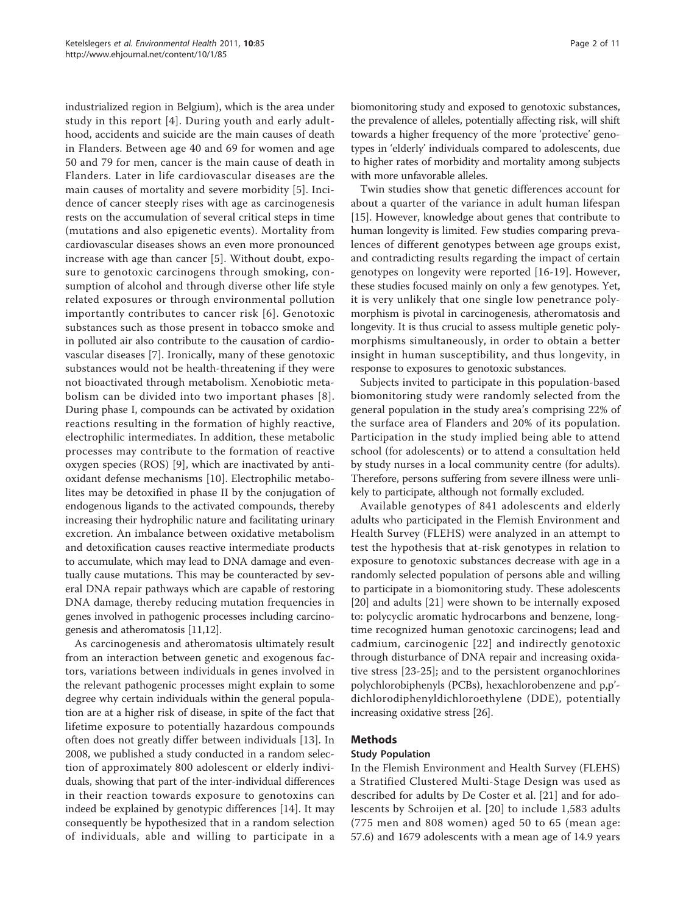industrialized region in Belgium), which is the area under study in this report [[4](#page-9-0)]. During youth and early adulthood, accidents and suicide are the main causes of death in Flanders. Between age 40 and 69 for women and age 50 and 79 for men, cancer is the main cause of death in Flanders. Later in life cardiovascular diseases are the main causes of mortality and severe morbidity [\[5](#page-9-0)]. Incidence of cancer steeply rises with age as carcinogenesis rests on the accumulation of several critical steps in time (mutations and also epigenetic events). Mortality from cardiovascular diseases shows an even more pronounced increase with age than cancer [[5](#page-9-0)]. Without doubt, exposure to genotoxic carcinogens through smoking, consumption of alcohol and through diverse other life style related exposures or through environmental pollution importantly contributes to cancer risk [[6\]](#page-9-0). Genotoxic substances such as those present in tobacco smoke and in polluted air also contribute to the causation of cardiovascular diseases [[7\]](#page-9-0). Ironically, many of these genotoxic substances would not be health-threatening if they were not bioactivated through metabolism. Xenobiotic metabolism can be divided into two important phases [[8\]](#page-9-0). During phase I, compounds can be activated by oxidation reactions resulting in the formation of highly reactive, electrophilic intermediates. In addition, these metabolic processes may contribute to the formation of reactive oxygen species (ROS) [[9](#page-9-0)], which are inactivated by antioxidant defense mechanisms [\[10](#page-9-0)]. Electrophilic metabolites may be detoxified in phase II by the conjugation of endogenous ligands to the activated compounds, thereby increasing their hydrophilic nature and facilitating urinary excretion. An imbalance between oxidative metabolism and detoxification causes reactive intermediate products to accumulate, which may lead to DNA damage and eventually cause mutations. This may be counteracted by several DNA repair pathways which are capable of restoring DNA damage, thereby reducing mutation frequencies in genes involved in pathogenic processes including carcinogenesis and atheromatosis [\[11,12](#page-9-0)].

As carcinogenesis and atheromatosis ultimately result from an interaction between genetic and exogenous factors, variations between individuals in genes involved in the relevant pathogenic processes might explain to some degree why certain individuals within the general population are at a higher risk of disease, in spite of the fact that lifetime exposure to potentially hazardous compounds often does not greatly differ between individuals [\[13](#page-9-0)]. In 2008, we published a study conducted in a random selection of approximately 800 adolescent or elderly individuals, showing that part of the inter-individual differences in their reaction towards exposure to genotoxins can indeed be explained by genotypic differences [\[14\]](#page-9-0). It may consequently be hypothesized that in a random selection of individuals, able and willing to participate in a biomonitoring study and exposed to genotoxic substances, the prevalence of alleles, potentially affecting risk, will shift towards a higher frequency of the more 'protective' genotypes in 'elderly' individuals compared to adolescents, due to higher rates of morbidity and mortality among subjects with more unfavorable alleles.

Twin studies show that genetic differences account for about a quarter of the variance in adult human lifespan [[15\]](#page-9-0). However, knowledge about genes that contribute to human longevity is limited. Few studies comparing prevalences of different genotypes between age groups exist, and contradicting results regarding the impact of certain genotypes on longevity were reported [\[16](#page-10-0)-[19\]](#page-10-0). However, these studies focused mainly on only a few genotypes. Yet, it is very unlikely that one single low penetrance polymorphism is pivotal in carcinogenesis, atheromatosis and longevity. It is thus crucial to assess multiple genetic polymorphisms simultaneously, in order to obtain a better insight in human susceptibility, and thus longevity, in response to exposures to genotoxic substances.

Subjects invited to participate in this population-based biomonitoring study were randomly selected from the general population in the study area's comprising 22% of the surface area of Flanders and 20% of its population. Participation in the study implied being able to attend school (for adolescents) or to attend a consultation held by study nurses in a local community centre (for adults). Therefore, persons suffering from severe illness were unlikely to participate, although not formally excluded.

Available genotypes of 841 adolescents and elderly adults who participated in the Flemish Environment and Health Survey (FLEHS) were analyzed in an attempt to test the hypothesis that at-risk genotypes in relation to exposure to genotoxic substances decrease with age in a randomly selected population of persons able and willing to participate in a biomonitoring study. These adolescents [[20\]](#page-10-0) and adults [[21](#page-10-0)] were shown to be internally exposed to: polycyclic aromatic hydrocarbons and benzene, longtime recognized human genotoxic carcinogens; lead and cadmium, carcinogenic [[22](#page-10-0)] and indirectly genotoxic through disturbance of DNA repair and increasing oxidative stress [[23-25](#page-10-0)]; and to the persistent organochlorines polychlorobiphenyls (PCBs), hexachlorobenzene and p,p' dichlorodiphenyldichloroethylene (DDE), potentially increasing oxidative stress [[26](#page-10-0)].

## Methods

#### Study Population

In the Flemish Environment and Health Survey (FLEHS) a Stratified Clustered Multi-Stage Design was used as described for adults by De Coster et al. [[21](#page-10-0)] and for adolescents by Schroijen et al. [[20\]](#page-10-0) to include 1,583 adults (775 men and 808 women) aged 50 to 65 (mean age: 57.6) and 1679 adolescents with a mean age of 14.9 years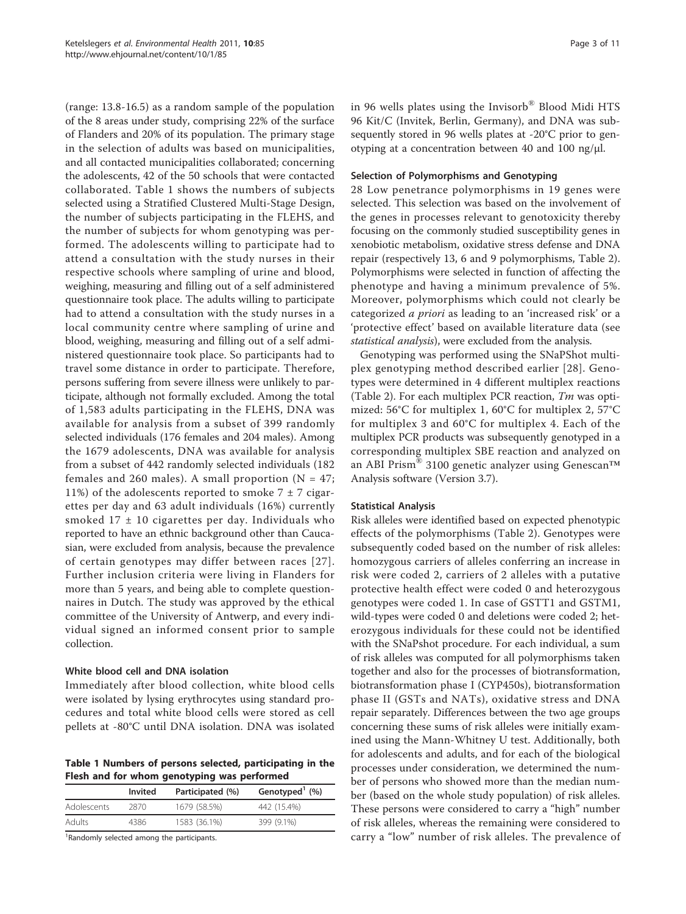(range: 13.8-16.5) as a random sample of the population of the 8 areas under study, comprising 22% of the surface of Flanders and 20% of its population. The primary stage in the selection of adults was based on municipalities, and all contacted municipalities collaborated; concerning the adolescents, 42 of the 50 schools that were contacted collaborated. Table 1 shows the numbers of subjects selected using a Stratified Clustered Multi-Stage Design, the number of subjects participating in the FLEHS, and the number of subjects for whom genotyping was performed. The adolescents willing to participate had to attend a consultation with the study nurses in their respective schools where sampling of urine and blood, weighing, measuring and filling out of a self administered questionnaire took place. The adults willing to participate had to attend a consultation with the study nurses in a local community centre where sampling of urine and blood, weighing, measuring and filling out of a self administered questionnaire took place. So participants had to travel some distance in order to participate. Therefore, persons suffering from severe illness were unlikely to participate, although not formally excluded. Among the total of 1,583 adults participating in the FLEHS, DNA was available for analysis from a subset of 399 randomly selected individuals (176 females and 204 males). Among the 1679 adolescents, DNA was available for analysis from a subset of 442 randomly selected individuals (182 females and 260 males). A small proportion ( $N = 47$ ; 11%) of the adolescents reported to smoke  $7 \pm 7$  cigarettes per day and 63 adult individuals (16%) currently smoked  $17 \pm 10$  cigarettes per day. Individuals who reported to have an ethnic background other than Caucasian, were excluded from analysis, because the prevalence of certain genotypes may differ between races [[27\]](#page-10-0). Further inclusion criteria were living in Flanders for more than 5 years, and being able to complete questionnaires in Dutch. The study was approved by the ethical committee of the University of Antwerp, and every individual signed an informed consent prior to sample collection.

# White blood cell and DNA isolation

Immediately after blood collection, white blood cells were isolated by lysing erythrocytes using standard procedures and total white blood cells were stored as cell pellets at -80°C until DNA isolation. DNA was isolated

Table 1 Numbers of persons selected, participating in the Flesh and for whom genotyping was performed

|               | Invited | Participated (%) | Genotyped <sup>1</sup> $(\%)$ |
|---------------|---------|------------------|-------------------------------|
| Adolescents   | 2870    | 1679 (58.5%)     | 442 (15.4%)                   |
| <b>Adults</b> | 4386    | 1583 (36.1%)     | 399 (9.1%)                    |

<sup>1</sup> Randomly selected among the participants.

in 96 wells plates using the Invisorb® Blood Midi HTS 96 Kit/C (Invitek, Berlin, Germany), and DNA was subsequently stored in 96 wells plates at -20°C prior to genotyping at a concentration between 40 and 100 ng/μl.

#### Selection of Polymorphisms and Genotyping

28 Low penetrance polymorphisms in 19 genes were selected. This selection was based on the involvement of the genes in processes relevant to genotoxicity thereby focusing on the commonly studied susceptibility genes in xenobiotic metabolism, oxidative stress defense and DNA repair (respectively 13, 6 and 9 polymorphisms, Table [2](#page-4-0)). Polymorphisms were selected in function of affecting the phenotype and having a minimum prevalence of 5%. Moreover, polymorphisms which could not clearly be categorized a priori as leading to an 'increased risk' or a 'protective effect' based on available literature data (see statistical analysis), were excluded from the analysis.

Genotyping was performed using the SNaPShot multiplex genotyping method described earlier [[28\]](#page-10-0). Genotypes were determined in 4 different multiplex reactions (Table [2](#page-4-0)). For each multiplex PCR reaction,  $Tm$  was optimized: 56°C for multiplex 1, 60°C for multiplex 2, 57°C for multiplex 3 and 60°C for multiplex 4. Each of the multiplex PCR products was subsequently genotyped in a corresponding multiplex SBE reaction and analyzed on an ABI Prism<sup>®</sup> 3100 genetic analyzer using Genescan™ Analysis software (Version 3.7).

## Statistical Analysis

Risk alleles were identified based on expected phenotypic effects of the polymorphisms (Table [2\)](#page-4-0). Genotypes were subsequently coded based on the number of risk alleles: homozygous carriers of alleles conferring an increase in risk were coded 2, carriers of 2 alleles with a putative protective health effect were coded 0 and heterozygous genotypes were coded 1. In case of GSTT1 and GSTM1, wild-types were coded 0 and deletions were coded 2; heterozygous individuals for these could not be identified with the SNaPshot procedure. For each individual, a sum of risk alleles was computed for all polymorphisms taken together and also for the processes of biotransformation, biotransformation phase I (CYP450s), biotransformation phase II (GSTs and NATs), oxidative stress and DNA repair separately. Differences between the two age groups concerning these sums of risk alleles were initially examined using the Mann-Whitney U test. Additionally, both for adolescents and adults, and for each of the biological processes under consideration, we determined the number of persons who showed more than the median number (based on the whole study population) of risk alleles. These persons were considered to carry a "high" number of risk alleles, whereas the remaining were considered to carry a "low" number of risk alleles. The prevalence of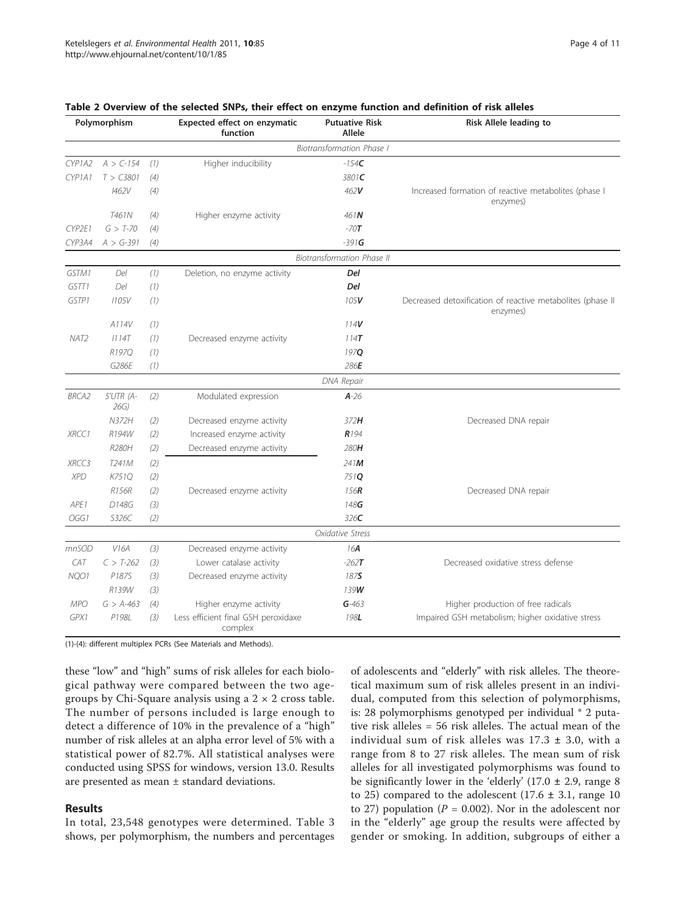| Polymorphism     |                  |     | Expected effect on enzymatic<br><b>Putuative Risk</b><br>Allele<br>function |                                  | <b>Risk Allele leading to</b>                                          |  |
|------------------|------------------|-----|-----------------------------------------------------------------------------|----------------------------------|------------------------------------------------------------------------|--|
|                  |                  |     |                                                                             | <b>Biotransformation Phase I</b> |                                                                        |  |
| CYP1A2           | $A > C-154$      | (1) | Higher inducibility                                                         | $-154C$                          |                                                                        |  |
| CYP1A1           | T > C3801        | (4) |                                                                             | 3801C                            |                                                                        |  |
|                  | 1462V            | (4) |                                                                             | 462V                             | Increased formation of reactive metabolites (phase I<br>enzymes)       |  |
|                  | T461N            | (4) | Higher enzyme activity                                                      | 461N                             |                                                                        |  |
| CYP2E1           | $G > T - 70$     | (4) |                                                                             | $-70T$                           |                                                                        |  |
| CYP3A4           | $A > G-391$      | (4) |                                                                             | $-391G$                          |                                                                        |  |
|                  |                  |     |                                                                             | Biotransformation Phase II       |                                                                        |  |
| GSTM1            | Del              | (1) | Deletion, no enzyme activity                                                | Del                              |                                                                        |  |
| GSTT1            | Del              | (1) |                                                                             | Del                              |                                                                        |  |
| GSTP1            | 1105V            | (1) |                                                                             | 105V                             | Decreased detoxification of reactive metabolites (phase II<br>enzymes) |  |
|                  | A114V            | (1) |                                                                             | 114V                             |                                                                        |  |
| NAT <sub>2</sub> | 1114T            | (1) | Decreased enzyme activity                                                   | 114T                             |                                                                        |  |
|                  | R197Q            | (1) |                                                                             | 197Q                             |                                                                        |  |
|                  | G286E            | (1) |                                                                             | 286E                             |                                                                        |  |
|                  |                  |     |                                                                             | <b>DNA Repair</b>                |                                                                        |  |
| <b>BRCA2</b>     | 5'UTR (A-<br>26G | (2) | Modulated expression                                                        | $A-26$                           |                                                                        |  |
|                  | N372H            | (2) | Decreased enzyme activity                                                   | 372H                             | Decreased DNA repair                                                   |  |
| XRCC1            | R194W            | (2) | Increased enzyme activity                                                   | <b>R</b> 194                     |                                                                        |  |
|                  | R280H            | (2) | Decreased enzyme activity                                                   | 280H                             |                                                                        |  |
| XRCC3            | T241M            | (2) |                                                                             | 241M                             |                                                                        |  |
| <b>XPD</b>       | K751Q            | (2) |                                                                             | 751Q                             |                                                                        |  |
|                  | R156R            | (2) | Decreased enzyme activity                                                   | 156R                             | Decreased DNA repair                                                   |  |
| APE <sub>1</sub> | D148G            | (3) |                                                                             | 148G                             |                                                                        |  |
| OGG1             | S326C            | (2) |                                                                             | 326C                             |                                                                        |  |
|                  |                  |     |                                                                             | Oxidative Stress                 |                                                                        |  |
| mnSOD            | V16A             | (3) | Decreased enzyme activity                                                   | 16A                              |                                                                        |  |
| CAT              | $C > T - 262$    | (3) | Lower catalase activity                                                     | $-262T$                          | Decreased oxidative stress defense                                     |  |
| NQO1             | P187S            | (3) | Decreased enzyme activity                                                   | 1875                             |                                                                        |  |
|                  | R139W            | (3) |                                                                             | 139W                             |                                                                        |  |
| <b>MPO</b>       | $G > A - 463$    | (4) | Higher enzyme activity                                                      | $G-463$                          | Higher production of free radicals                                     |  |
| GPX1             | P1981            | (3) | Less efficient final GSH peroxidaxe<br>complex                              | 198L                             | Impaired GSH metabolism; higher oxidative stress                       |  |

<span id="page-4-0"></span>

| Table 2 Overview of the selected SNPs, their effect on enzyme function and definition of risk alleles |  |
|-------------------------------------------------------------------------------------------------------|--|
|-------------------------------------------------------------------------------------------------------|--|

(1)-(4): different multiplex PCRs (See Materials and Methods).

these "low" and "high" sums of risk alleles for each biological pathway were compared between the two agegroups by Chi-Square analysis using a  $2 \times 2$  cross table. The number of persons included is large enough to detect a difference of 10% in the prevalence of a "high" number of risk alleles at an alpha error level of 5% with a statistical power of 82.7%. All statistical analyses were conducted using SPSS for windows, version 13.0. Results are presented as mean ± standard deviations.

# Results

In total, 23,548 genotypes were determined. Table [3](#page-5-0) shows, per polymorphism, the numbers and percentages of adolescents and "elderly" with risk alleles. The theoretical maximum sum of risk alleles present in an individual, computed from this selection of polymorphisms, is: 28 polymorphisms genotyped per individual \* 2 putative risk alleles = 56 risk alleles. The actual mean of the individual sum of risk alleles was  $17.3 \pm 3.0$ , with a range from 8 to 27 risk alleles. The mean sum of risk alleles for all investigated polymorphisms was found to be significantly lower in the 'elderly'  $(17.0 \pm 2.9)$ , range 8 to 25) compared to the adolescent  $(17.6 \pm 3.1, \text{ range } 10)$ to 27) population ( $P = 0.002$ ). Nor in the adolescent nor in the "elderly" age group the results were affected by gender or smoking. In addition, subgroups of either a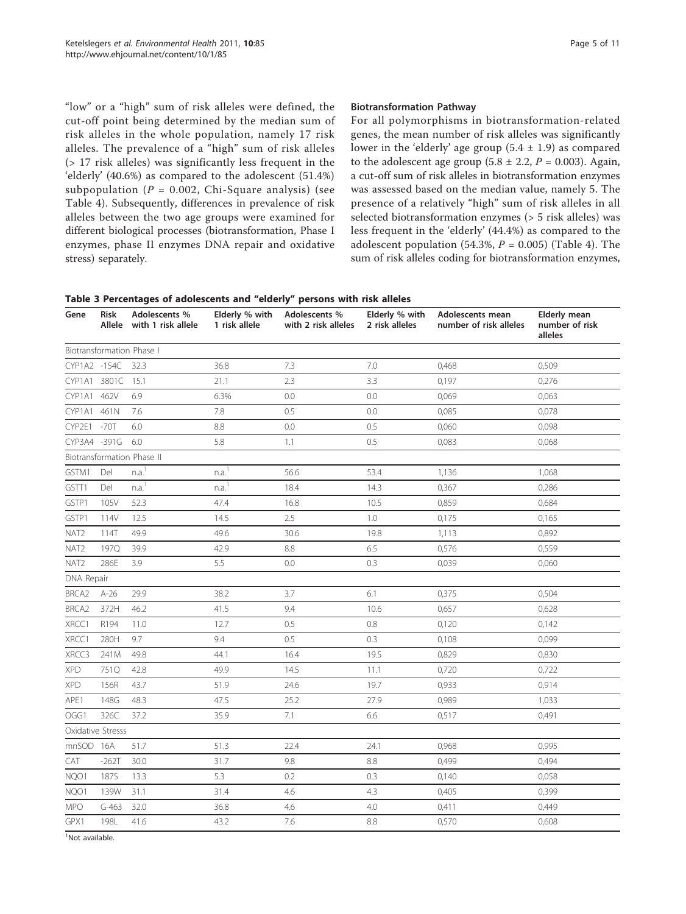<span id="page-5-0"></span>"low" or a "high" sum of risk alleles were defined, the cut-off point being determined by the median sum of risk alleles in the whole population, namely 17 risk alleles. The prevalence of a "high" sum of risk alleles (> 17 risk alleles) was significantly less frequent in the 'elderly' (40.6%) as compared to the adolescent (51.4%) subpopulation ( $P = 0.002$ , Chi-Square analysis) (see Table [4](#page-6-0)). Subsequently, differences in prevalence of risk alleles between the two age groups were examined for different biological processes (biotransformation, Phase I enzymes, phase II enzymes DNA repair and oxidative stress) separately.

# Biotransformation Pathway

For all polymorphisms in biotransformation-related genes, the mean number of risk alleles was significantly lower in the 'elderly' age group  $(5.4 \pm 1.9)$  as compared to the adolescent age group (5.8  $\pm$  2.2,  $P$  = 0.003). Again, a cut-off sum of risk alleles in biotransformation enzymes was assessed based on the median value, namely 5. The presence of a relatively "high" sum of risk alleles in all selected biotransformation enzymes (> 5 risk alleles) was less frequent in the 'elderly' (44.4%) as compared to the adolescent population (54.3%,  $P = 0.005$ ) (Table [4\)](#page-6-0). The sum of risk alleles coding for biotransformation enzymes,

| Table 3 Percentages of adolescents and "elderly" persons with risk alleles |  |  |  |  |
|----------------------------------------------------------------------------|--|--|--|--|
|----------------------------------------------------------------------------|--|--|--|--|

| Gene              | <b>Risk</b> | Adolescents %<br>Allele with 1 risk allele | Elderly % with<br>1 risk allele | Adolescents %<br>with 2 risk alleles | Elderly % with<br>2 risk alleles | Adolescents mean<br>number of risk alleles | <b>Elderly mean</b><br>number of risk<br>alleles |
|-------------------|-------------|--------------------------------------------|---------------------------------|--------------------------------------|----------------------------------|--------------------------------------------|--------------------------------------------------|
|                   |             | Biotransformation Phase I                  |                                 |                                      |                                  |                                            |                                                  |
| CYP1A2 -154C      |             | 32.3                                       | 36.8                            | 7.3                                  | 7.0                              | 0,468                                      | 0,509                                            |
| CYP1A1 3801C      |             | 15.1                                       | 21.1                            | 2.3                                  | 3.3                              | 0,197                                      | 0,276                                            |
| CYP1A1 462V       |             | 6.9                                        | 6.3%                            | 0.0                                  | 0.0                              | 0,069                                      | 0,063                                            |
| CYP1A1            | 461N        | 7.6                                        | 7.8                             | 0.5                                  | 0.0                              | 0,085                                      | 0,078                                            |
| CYP2E1            | $-70T$      | 6.0                                        | 8.8                             | 0.0                                  | 0.5                              | 0,060                                      | 0,098                                            |
| CYP3A4            | $-391G$     | 6.0                                        | 5.8                             | 1.1                                  | 0.5                              | 0,083                                      | 0,068                                            |
|                   |             | Biotransformation Phase II                 |                                 |                                      |                                  |                                            |                                                  |
| GSTM1             | Del         | n.a. <sup>1</sup>                          | n.a. <sup>1</sup>               | 56.6                                 | 53.4                             | 1,136                                      | 1,068                                            |
| GSTT1             | Del         | n.a. <sup>1</sup>                          | n.a. <sup>1</sup>               | 18.4                                 | 14.3                             | 0,367                                      | 0,286                                            |
| GSTP1             | 105V        | 52.3                                       | 47.4                            | 16.8                                 | 10.5                             | 0,859                                      | 0,684                                            |
| GSTP1             | 114V        | 12.5                                       | 14.5                            | 2.5                                  | 1.0                              | 0,175                                      | 0,165                                            |
| NAT <sub>2</sub>  | <b>114T</b> | 49.9                                       | 49.6                            | 30.6                                 | 19.8                             | 1,113                                      | 0,892                                            |
| NAT2              | 197Q        | 39.9                                       | 42.9                            | 8.8                                  | 6.5                              | 0,576                                      | 0,559                                            |
| NAT <sub>2</sub>  | 286E        | 3.9                                        | 5.5                             | 0.0                                  | 0.3                              | 0,039                                      | 0,060                                            |
| DNA Repair        |             |                                            |                                 |                                      |                                  |                                            |                                                  |
| BRCA2             | $A-26$      | 29.9                                       | 38.2                            | 3.7                                  | 6.1                              | 0,375                                      | 0,504                                            |
| BRCA2             | 372H        | 46.2                                       | 41.5                            | 9.4                                  | 10.6                             | 0,657                                      | 0,628                                            |
| XRCC1             | R194        | 11.0                                       | 12.7                            | 0.5                                  | 0.8                              | 0,120                                      | 0,142                                            |
| XRCC1             | 280H        | 9.7                                        | 9.4                             | 0.5                                  | 0.3                              | 0,108                                      | 0,099                                            |
| XRCC3             | 241M        | 49.8                                       | 44.1                            | 16.4                                 | 19.5                             | 0,829                                      | 0,830                                            |
| <b>XPD</b>        | 751Q        | 42.8                                       | 49.9                            | 14.5                                 | 11.1                             | 0,720                                      | 0,722                                            |
| <b>XPD</b>        | 156R        | 43.7                                       | 51.9                            | 24.6                                 | 19.7                             | 0,933                                      | 0,914                                            |
| APE1              | 148G        | 48.3                                       | 47.5                            | 25.2                                 | 27.9                             | 0,989                                      | 1,033                                            |
| OGG1              | 326C        | 37.2                                       | 35.9                            | 7.1                                  | 6.6                              | 0,517                                      | 0,491                                            |
| Oxidative Stresss |             |                                            |                                 |                                      |                                  |                                            |                                                  |
| mnSOD 16A         |             | 51.7                                       | 51.3                            | 22.4                                 | 24.1                             | 0,968                                      | 0,995                                            |
| CAT               | $-262T$     | 30.0                                       | 31.7                            | 9.8                                  | 8.8                              | 0,499                                      | 0,494                                            |
| NQO1              | <b>187S</b> | 13.3                                       | 5.3                             | 0.2                                  | 0.3                              | 0,140                                      | 0,058                                            |
| NQO1              | 139W        | 31.1                                       | 31.4                            | 4.6                                  | 4.3                              | 0,405                                      | 0,399                                            |
| <b>MPO</b>        | $G-463$     | 32.0                                       | 36.8                            | 4.6                                  | 4.0                              | 0,411                                      | 0,449                                            |
| GPX1              | 198L        | 41.6                                       | 43.2                            | 7.6                                  | 8.8                              | 0,570                                      | 0,608                                            |
| ᅮ                 |             |                                            |                                 |                                      |                                  |                                            |                                                  |

<sup>1</sup>Not available.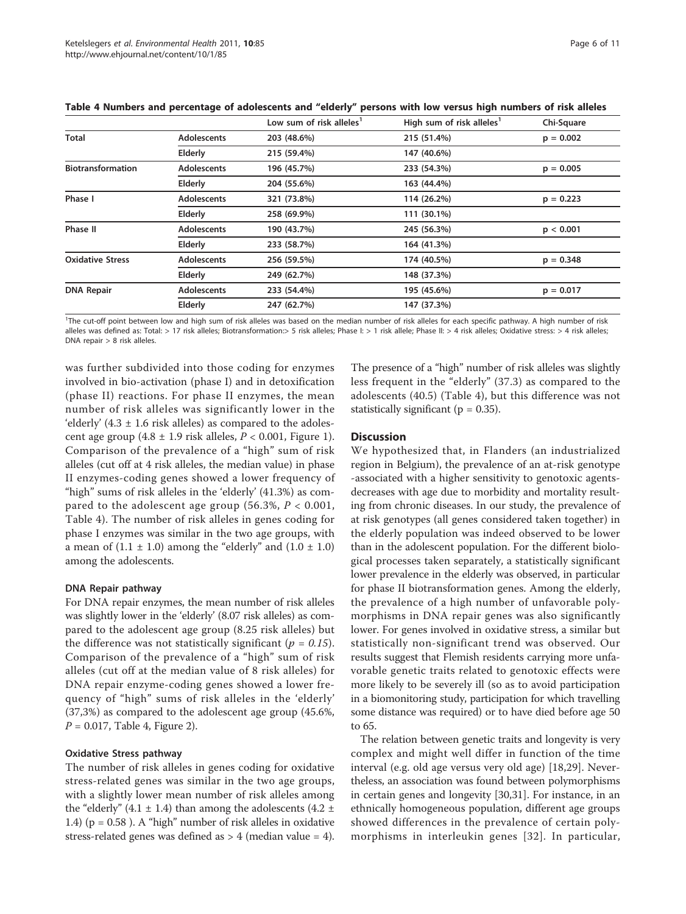|                          |                    | Low sum of risk alleles <sup>1</sup> | High sum of risk alleles <sup>1</sup> | Chi-Square  |
|--------------------------|--------------------|--------------------------------------|---------------------------------------|-------------|
| Total                    | <b>Adolescents</b> | 203 (48.6%)                          | 215 (51.4%)                           | $p = 0.002$ |
|                          | Elderly            | 215 (59.4%)                          | 147 (40.6%)                           |             |
| <b>Biotransformation</b> | <b>Adolescents</b> | 196 (45.7%)                          | 233 (54.3%)                           | $p = 0.005$ |
|                          | <b>Elderly</b>     | 204 (55.6%)                          | 163 (44.4%)                           |             |
| Phase I                  | <b>Adolescents</b> | 321 (73.8%)                          | 114 (26.2%)                           | $p = 0.223$ |
|                          | <b>Elderly</b>     | 258 (69.9%)                          | 111 (30.1%)                           |             |
| Phase II                 | <b>Adolescents</b> | 190 (43.7%)                          | 245 (56.3%)                           | p < 0.001   |
|                          | Elderly            | 233 (58.7%)                          | 164 (41.3%)                           |             |
| <b>Oxidative Stress</b>  | <b>Adolescents</b> | 256 (59.5%)                          | 174 (40.5%)                           | $p = 0.348$ |
|                          | Elderly            | 249 (62.7%)                          | 148 (37.3%)                           |             |
| <b>DNA Repair</b>        | <b>Adolescents</b> | 233 (54.4%)                          | 195 (45.6%)                           | $p = 0.017$ |
|                          | Elderly            | 247 (62.7%)                          | 147 (37.3%)                           |             |

<span id="page-6-0"></span>Table 4 Numbers and percentage of adolescents and "elderly" persons with low versus high numbers of risk alleles

<sup>1</sup>The cut-off point between low and high sum of risk alleles was based on the median number of risk alleles for each specific pathway. A high number of risk alleles was defined as: Total: > 17 risk alleles; Biotransformation:> 5 risk alleles; Phase I: > 1 risk allele; Phase II: > 4 risk alleles; Oxidative stress: > 4 risk alleles; DNA repair > 8 risk alleles.

was further subdivided into those coding for enzymes involved in bio-activation (phase I) and in detoxification (phase II) reactions. For phase II enzymes, the mean number of risk alleles was significantly lower in the 'elderly'  $(4.3 \pm 1.6 \text{ risk alleles})$  as compared to the adolescent age group  $(4.8 \pm 1.9 \text{ risk alleles}, P < 0.001, \text{Figure 1}).$  $(4.8 \pm 1.9 \text{ risk alleles}, P < 0.001, \text{Figure 1}).$  $(4.8 \pm 1.9 \text{ risk alleles}, P < 0.001, \text{Figure 1}).$ Comparison of the prevalence of a "high" sum of risk alleles (cut off at 4 risk alleles, the median value) in phase II enzymes-coding genes showed a lower frequency of "high" sums of risk alleles in the 'elderly' (41.3%) as compared to the adolescent age group  $(56.3\%, P < 0.001,$ Table 4). The number of risk alleles in genes coding for phase I enzymes was similar in the two age groups, with a mean of  $(1.1 \pm 1.0)$  among the "elderly" and  $(1.0 \pm 1.0)$ among the adolescents.

## DNA Repair pathway

For DNA repair enzymes, the mean number of risk alleles was slightly lower in the 'elderly' (8.07 risk alleles) as compared to the adolescent age group (8.25 risk alleles) but the difference was not statistically significant ( $p = 0.15$ ). Comparison of the prevalence of a "high" sum of risk alleles (cut off at the median value of 8 risk alleles) for DNA repair enzyme-coding genes showed a lower frequency of "high" sums of risk alleles in the 'elderly' (37,3%) as compared to the adolescent age group (45.6%,  $P = 0.017$ , Table 4, Figure [2](#page-8-0)).

## Oxidative Stress pathway

The number of risk alleles in genes coding for oxidative stress-related genes was similar in the two age groups, with a slightly lower mean number of risk alleles among the "elderly" (4.1  $\pm$  1.4) than among the adolescents (4.2  $\pm$ 1.4) ( $p = 0.58$ ). A "high" number of risk alleles in oxidative stress-related genes was defined as  $> 4$  (median value = 4).

The presence of a "high" number of risk alleles was slightly less frequent in the "elderly" (37.3) as compared to the adolescents (40.5) (Table 4), but this difference was not statistically significant ( $p = 0.35$ ).

# **Discussion**

We hypothesized that, in Flanders (an industrialized region in Belgium), the prevalence of an at-risk genotype -associated with a higher sensitivity to genotoxic agentsdecreases with age due to morbidity and mortality resulting from chronic diseases. In our study, the prevalence of at risk genotypes (all genes considered taken together) in the elderly population was indeed observed to be lower than in the adolescent population. For the different biological processes taken separately, a statistically significant lower prevalence in the elderly was observed, in particular for phase II biotransformation genes. Among the elderly, the prevalence of a high number of unfavorable polymorphisms in DNA repair genes was also significantly lower. For genes involved in oxidative stress, a similar but statistically non-significant trend was observed. Our results suggest that Flemish residents carrying more unfavorable genetic traits related to genotoxic effects were more likely to be severely ill (so as to avoid participation in a biomonitoring study, participation for which travelling some distance was required) or to have died before age 50 to 65.

The relation between genetic traits and longevity is very complex and might well differ in function of the time interval (e.g. old age versus very old age) [[18,29\]](#page-10-0). Nevertheless, an association was found between polymorphisms in certain genes and longevity [[30](#page-10-0),[31](#page-10-0)]. For instance, in an ethnically homogeneous population, different age groups showed differences in the prevalence of certain polymorphisms in interleukin genes [[32](#page-10-0)]. In particular,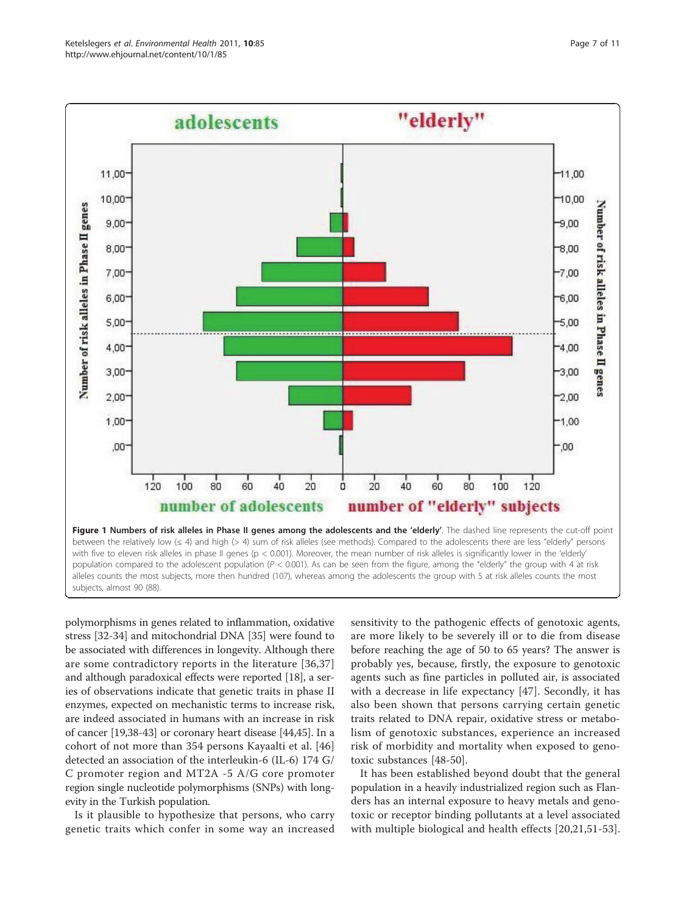<span id="page-7-0"></span>

polymorphisms in genes related to inflammation, oxidative stress [[32-34\]](#page-10-0) and mitochondrial DNA [\[35](#page-10-0)] were found to be associated with differences in longevity. Although there are some contradictory reports in the literature [[36,37](#page-10-0)] and although paradoxical effects were reported [[18](#page-10-0)], a series of observations indicate that genetic traits in phase II enzymes, expected on mechanistic terms to increase risk, are indeed associated in humans with an increase in risk of cancer [\[19,38-43\]](#page-10-0) or coronary heart disease [[44,45\]](#page-10-0). In a cohort of not more than 354 persons Kayaalti et al. [\[46](#page-10-0)] detected an association of the interleukin-6 (IL-6) 174 G/ C promoter region and MT2A -5 A/G core promoter region single nucleotide polymorphisms (SNPs) with longevity in the Turkish population.

Is it plausible to hypothesize that persons, who carry genetic traits which confer in some way an increased

sensitivity to the pathogenic effects of genotoxic agents, are more likely to be severely ill or to die from disease before reaching the age of 50 to 65 years? The answer is probably yes, because, firstly, the exposure to genotoxic agents such as fine particles in polluted air, is associated with a decrease in life expectancy [[47\]](#page-10-0). Secondly, it has also been shown that persons carrying certain genetic traits related to DNA repair, oxidative stress or metabolism of genotoxic substances, experience an increased risk of morbidity and mortality when exposed to genotoxic substances [[48](#page-10-0)-[50\]](#page-10-0).

It has been established beyond doubt that the general population in a heavily industrialized region such as Flanders has an internal exposure to heavy metals and genotoxic or receptor binding pollutants at a level associated with multiple biological and health effects [\[20,21](#page-10-0),[51-53](#page-11-0)].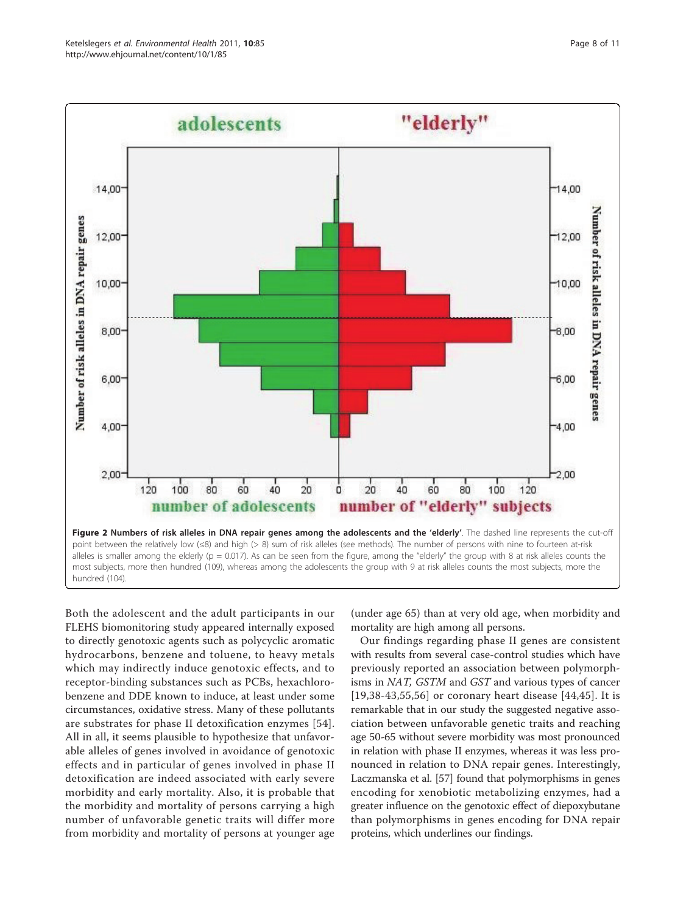<span id="page-8-0"></span>

Both the adolescent and the adult participants in our FLEHS biomonitoring study appeared internally exposed to directly genotoxic agents such as polycyclic aromatic hydrocarbons, benzene and toluene, to heavy metals which may indirectly induce genotoxic effects, and to receptor-binding substances such as PCBs, hexachlorobenzene and DDE known to induce, at least under some circumstances, oxidative stress. Many of these pollutants are substrates for phase II detoxification enzymes [[54](#page-11-0)]. All in all, it seems plausible to hypothesize that unfavorable alleles of genes involved in avoidance of genotoxic effects and in particular of genes involved in phase II detoxification are indeed associated with early severe morbidity and early mortality. Also, it is probable that the morbidity and mortality of persons carrying a high number of unfavorable genetic traits will differ more from morbidity and mortality of persons at younger age

(under age 65) than at very old age, when morbidity and mortality are high among all persons.

Our findings regarding phase II genes are consistent with results from several case-control studies which have previously reported an association between polymorphisms in NAT, GSTM and GST and various types of cancer [[19](#page-10-0),[38-43,](#page-10-0)[55](#page-11-0),[56\]](#page-11-0) or coronary heart disease [[44,45](#page-10-0)]. It is remarkable that in our study the suggested negative association between unfavorable genetic traits and reaching age 50-65 without severe morbidity was most pronounced in relation with phase II enzymes, whereas it was less pronounced in relation to DNA repair genes. Interestingly, Laczmanska et al. [\[57\]](#page-11-0) found that polymorphisms in genes encoding for xenobiotic metabolizing enzymes, had a greater influence on the genotoxic effect of diepoxybutane than polymorphisms in genes encoding for DNA repair proteins, which underlines our findings.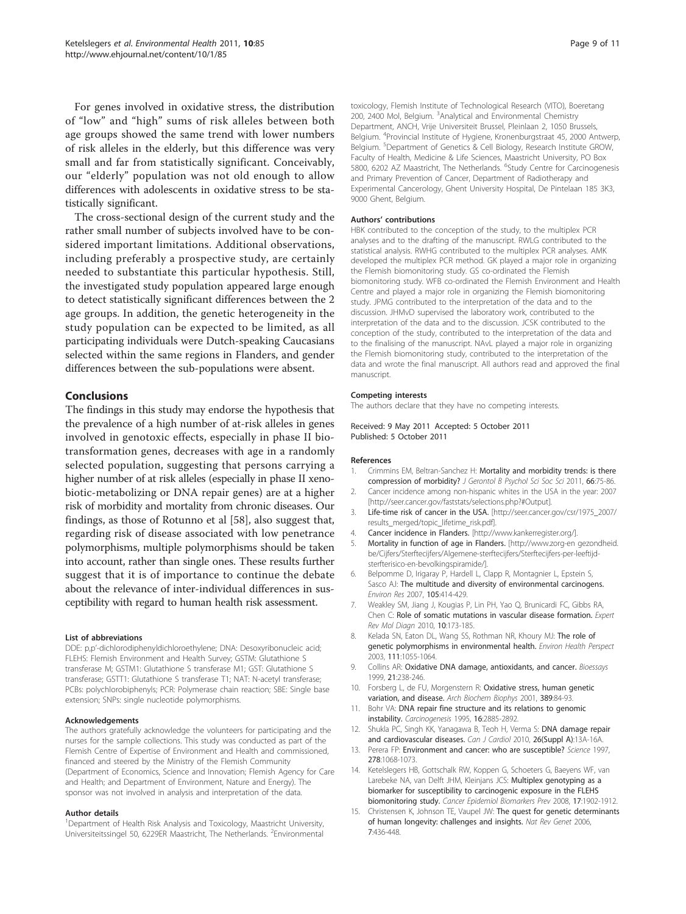<span id="page-9-0"></span>For genes involved in oxidative stress, the distribution of "low" and "high" sums of risk alleles between both age groups showed the same trend with lower numbers of risk alleles in the elderly, but this difference was very small and far from statistically significant. Conceivably, our "elderly" population was not old enough to allow differences with adolescents in oxidative stress to be statistically significant.

The cross-sectional design of the current study and the rather small number of subjects involved have to be considered important limitations. Additional observations, including preferably a prospective study, are certainly needed to substantiate this particular hypothesis. Still, the investigated study population appeared large enough to detect statistically significant differences between the 2 age groups. In addition, the genetic heterogeneity in the study population can be expected to be limited, as all participating individuals were Dutch-speaking Caucasians selected within the same regions in Flanders, and gender differences between the sub-populations were absent.

## Conclusions

The findings in this study may endorse the hypothesis that the prevalence of a high number of at-risk alleles in genes involved in genotoxic effects, especially in phase II biotransformation genes, decreases with age in a randomly selected population, suggesting that persons carrying a higher number of at risk alleles (especially in phase II xenobiotic-metabolizing or DNA repair genes) are at a higher risk of morbidity and mortality from chronic diseases. Our findings, as those of Rotunno et al [[58\]](#page-11-0), also suggest that, regarding risk of disease associated with low penetrance polymorphisms, multiple polymorphisms should be taken into account, rather than single ones. These results further suggest that it is of importance to continue the debate about the relevance of inter-individual differences in susceptibility with regard to human health risk assessment.

#### List of abbreviations

DDE: p,p'-dichlorodiphenyldichloroethylene; DNA: Desoxyribonucleic acid; FLEHS: Flemish Environment and Health Survey; GSTM: Glutathione S transferase M; GSTM1: Glutathione S transferase M1; GST: Glutathione S transferase; GSTT1: Glutathione S transferase T1; NAT: N-acetyl transferase; PCBs: polychlorobiphenyls; PCR: Polymerase chain reaction; SBE: Single base extension; SNPs: single nucleotide polymorphisms.

#### Acknowledgements

The authors gratefully acknowledge the volunteers for participating and the nurses for the sample collections. This study was conducted as part of the Flemish Centre of Expertise of Environment and Health and commissioned, financed and steered by the Ministry of the Flemish Community (Department of Economics, Science and Innovation; Flemish Agency for Care and Health; and Department of Environment, Nature and Energy). The sponsor was not involved in analysis and interpretation of the data.

#### Author details

<sup>1</sup>Department of Health Risk Analysis and Toxicology, Maastricht University, Universiteitssingel 50, 6229ER Maastricht, The Netherlands. <sup>2</sup>Environmental

toxicology, Flemish Institute of Technological Research (VITO), Boeretang 200, 2400 Mol, Belgium. <sup>3</sup>Analytical and Environmental Chemistry Department, ANCH, Vrije Universiteit Brussel, Pleinlaan 2, 1050 Brussels, Belgium. <sup>4</sup>Provincial Institute of Hygiene, Kronenburgstraat 45, 2000 Antwerp Belgium. <sup>5</sup>Department of Genetics & Cell Biology, Research Institute GROW, Faculty of Health, Medicine & Life Sciences, Maastricht University, PO Box 5800, 6202 AZ Maastricht, The Netherlands. <sup>6</sup>Study Centre for Carcinogenesis and Primary Prevention of Cancer, Department of Radiotherapy and Experimental Cancerology, Ghent University Hospital, De Pintelaan 185 3K3, 9000 Ghent, Belgium.

#### Authors' contributions

HBK contributed to the conception of the study, to the multiplex PCR analyses and to the drafting of the manuscript. RWLG contributed to the statistical analysis. RWHG contributed to the multiplex PCR analyses. AMK developed the multiplex PCR method. GK played a major role in organizing the Flemish biomonitoring study. GS co-ordinated the Flemish biomonitoring study. WFB co-ordinated the Flemish Environment and Health Centre and played a major role in organizing the Flemish biomonitoring study. JPMG contributed to the interpretation of the data and to the discussion. JHMvD supervised the laboratory work, contributed to the interpretation of the data and to the discussion. JCSK contributed to the conception of the study, contributed to the interpretation of the data and to the finalising of the manuscript. NAvL played a major role in organizing the Flemish biomonitoring study, contributed to the interpretation of the data and wrote the final manuscript. All authors read and approved the final manuscript.

#### Competing interests

The authors declare that they have no competing interests.

Received: 9 May 2011 Accepted: 5 October 2011 Published: 5 October 2011

#### References

- 1. Crimmins EM, Beltran-Sanchez H: [Mortality and morbidity trends: is there](http://www.ncbi.nlm.nih.gov/pubmed/21135070?dopt=Abstract) [compression of morbidity?](http://www.ncbi.nlm.nih.gov/pubmed/21135070?dopt=Abstract) J Gerontol B Psychol Sci Soc Sci 2011, 66:75-86.
- 2. Cancer incidence among non-hispanic whites in the USA in the year: 2007 [[http://seer.cancer.gov/faststats/selections.php?#Output\]](http://seer.cancer.gov/faststats/selections.php?#Output).
- 3. Life-time risk of cancer in the USA. [[http://seer.cancer.gov/csr/1975\\_2007/](http://seer.cancer.gov/csr/1975_2007/results_merged/topic_lifetime_risk.pdf) [results\\_merged/topic\\_lifetime\\_risk.pdf](http://seer.cancer.gov/csr/1975_2007/results_merged/topic_lifetime_risk.pdf)].
- 4. Cancer incidence in Flanders. [[http://www.kankerregister.org/\]](http://www.kankerregister.org/).
- Mortality in function of age in Flanders. [\[http://www.zorg-en gezondheid.](http://www.zorg-en gezondheid.be/Cijfers/Sterftecijfers/Algemene-sterftecijfers/Sterftecijfers-per-leeftijd-sterfterisico-en-bevolkingspiramide/) [be/Cijfers/Sterftecijfers/Algemene-sterftecijfers/Sterftecijfers-per-leeftijd](http://www.zorg-en gezondheid.be/Cijfers/Sterftecijfers/Algemene-sterftecijfers/Sterftecijfers-per-leeftijd-sterfterisico-en-bevolkingspiramide/)[sterfterisico-en-bevolkingspiramide/\]](http://www.zorg-en gezondheid.be/Cijfers/Sterftecijfers/Algemene-sterftecijfers/Sterftecijfers-per-leeftijd-sterfterisico-en-bevolkingspiramide/).
- 6. Belpomme D, Irigaray P, Hardell L, Clapp R, Montagnier L, Epstein S, Sasco AJ: [The multitude and diversity of environmental carcinogens.](http://www.ncbi.nlm.nih.gov/pubmed/17692309?dopt=Abstract) Environ Res 2007, 105:414-429.
- 7. Weakley SM, Jiang J, Kougias P, Lin PH, Yao Q, Brunicardi FC, Gibbs RA, Chen C: [Role of somatic mutations in vascular disease formation.](http://www.ncbi.nlm.nih.gov/pubmed/20214536?dopt=Abstract) Expert Rev Mol Diagn 2010, 10:173-185.
- 8. Kelada SN, Eaton DL, Wang SS, Rothman NR, Khoury MJ: [The role of](http://www.ncbi.nlm.nih.gov/pubmed/12826477?dopt=Abstract) [genetic polymorphisms in environmental health.](http://www.ncbi.nlm.nih.gov/pubmed/12826477?dopt=Abstract) Environ Health Perspect 2003, 111:1055-1064.
- 9. Collins AR: [Oxidative DNA damage, antioxidants, and cancer.](http://www.ncbi.nlm.nih.gov/pubmed/10333733?dopt=Abstract) Bioessays 1999, 21:238-246.
- 10. Forsberg L, de FU, Morgenstern R: [Oxidative stress, human genetic](http://www.ncbi.nlm.nih.gov/pubmed/11370676?dopt=Abstract) [variation, and disease.](http://www.ncbi.nlm.nih.gov/pubmed/11370676?dopt=Abstract) Arch Biochem Biophys 2001, 389:84-93.
- 11. Bohr VA: [DNA repair fine structure and its relations to genomic](http://www.ncbi.nlm.nih.gov/pubmed/8603460?dopt=Abstract) [instability.](http://www.ncbi.nlm.nih.gov/pubmed/8603460?dopt=Abstract) Carcinogenesis 1995, 16:2885-2892.
- 12. Shukla PC, Singh KK, Yanagawa B, Teoh H, Verma S: [DNA damage repair](http://www.ncbi.nlm.nih.gov/pubmed/20386754?dopt=Abstract) [and cardiovascular diseases.](http://www.ncbi.nlm.nih.gov/pubmed/20386754?dopt=Abstract) Can J Cardiol 2010, 26(Suppl A):13A-16A.
- 13. Perera FP: [Environment and cancer: who are susceptible?](http://www.ncbi.nlm.nih.gov/pubmed/9353182?dopt=Abstract) Science 1997, 278:1068-1073.
- 14. Ketelslegers HB, Gottschalk RW, Koppen G, Schoeters G, Baeyens WF, van Larebeke NA, van Delft JHM, Kleinjans JCS: [Multiplex genotyping as a](http://www.ncbi.nlm.nih.gov/pubmed/18708379?dopt=Abstract) [biomarker for susceptibility to carcinogenic exposure in the FLEHS](http://www.ncbi.nlm.nih.gov/pubmed/18708379?dopt=Abstract) [biomonitoring study.](http://www.ncbi.nlm.nih.gov/pubmed/18708379?dopt=Abstract) Cancer Epidemiol Biomarkers Prev 2008, 17:1902-1912.
- 15. Christensen K, Johnson TE, Vaupel JW: [The quest for genetic determinants](http://www.ncbi.nlm.nih.gov/pubmed/16708071?dopt=Abstract) [of human longevity: challenges and insights.](http://www.ncbi.nlm.nih.gov/pubmed/16708071?dopt=Abstract) Nat Rev Genet 2006, 7:436-448.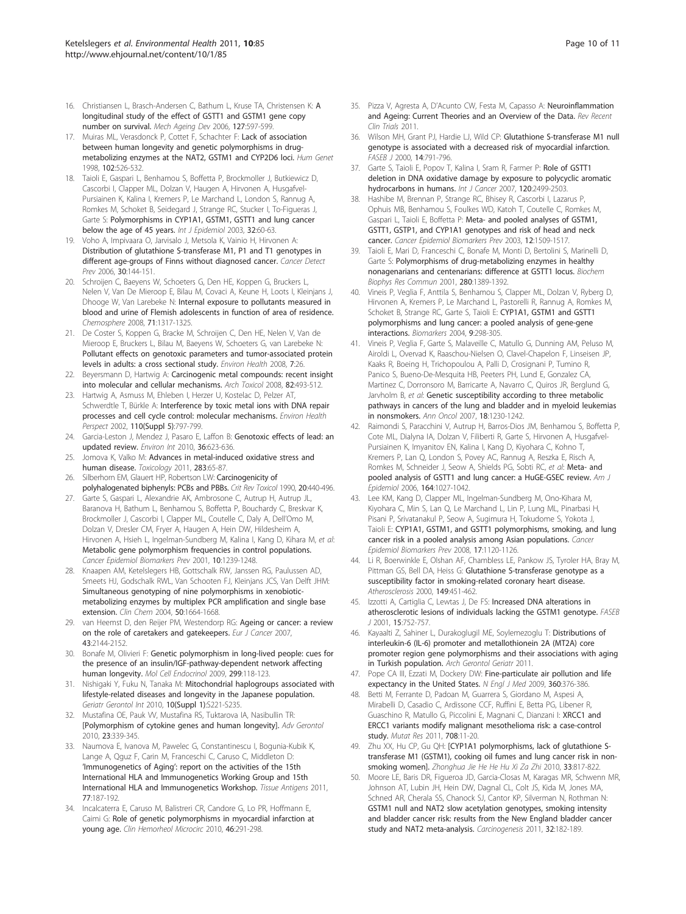- <span id="page-10-0"></span>16. Christiansen L, Brasch-Andersen C, Bathum L, Kruse TA, Christensen K: [A](http://www.ncbi.nlm.nih.gov/pubmed/16574194?dopt=Abstract) [longitudinal study of the effect of GSTT1 and GSTM1 gene copy](http://www.ncbi.nlm.nih.gov/pubmed/16574194?dopt=Abstract) [number on survival.](http://www.ncbi.nlm.nih.gov/pubmed/16574194?dopt=Abstract) Mech Ageing Dev 2006, 127:597-599.
- 17. Muiras ML, Verasdonck P, Cottet F, Schachter F: [Lack of association](http://www.ncbi.nlm.nih.gov/pubmed/9654200?dopt=Abstract) [between human longevity and genetic polymorphisms in drug](http://www.ncbi.nlm.nih.gov/pubmed/9654200?dopt=Abstract)[metabolizing enzymes at the NAT2, GSTM1 and CYP2D6 loci.](http://www.ncbi.nlm.nih.gov/pubmed/9654200?dopt=Abstract) Hum Genet 1998, 102:526-532.
- 18. Taioli E, Gaspari L, Benhamou S, Boffetta P, Brockmoller J, Butkiewicz D, Cascorbi I, Clapper ML, Dolzan V, Haugen A, Hirvonen A, Husgafvel-Pursiainen K, Kalina I, Kremers P, Le Marchand L, London S, Rannug A, Romkes M, Schoket B, Seidegard J, Strange RC, Stucker I, To-Figueras J, Garte S: [Polymorphisms in CYP1A1, GSTM1, GSTT1 and lung cancer](http://www.ncbi.nlm.nih.gov/pubmed/12690010?dopt=Abstract) [below the age of 45 years.](http://www.ncbi.nlm.nih.gov/pubmed/12690010?dopt=Abstract) Int J Epidemiol 2003, 32:60-63.
- 19. Voho A, Impivaara O, Jarvisalo J, Metsola K, Vainio H, Hirvonen A: [Distribution of glutathione S-transferase M1, P1 and T1 genotypes in](http://www.ncbi.nlm.nih.gov/pubmed/16638627?dopt=Abstract) [different age-groups of Finns without diagnosed cancer.](http://www.ncbi.nlm.nih.gov/pubmed/16638627?dopt=Abstract) Cancer Detect Prev 2006, 30:144-151.
- 20. Schroijen C, Baeyens W, Schoeters G, Den HE, Koppen G, Bruckers L, Nelen V, Van De Mieroop E, Bilau M, Covaci A, Keune H, Loots I, Kleinjans J, Dhooge W, Van Larebeke N: [Internal exposure to pollutants measured in](http://www.ncbi.nlm.nih.gov/pubmed/18221770?dopt=Abstract) [blood and urine of Flemish adolescents in function of area of residence.](http://www.ncbi.nlm.nih.gov/pubmed/18221770?dopt=Abstract) Chemosphere 2008, 71:1317-1325.
- 21. De Coster S, Koppen G, Bracke M, Schroijen C, Den HE, Nelen V, Van de Mieroop E, Bruckers L, Bilau M, Baeyens W, Schoeters G, van Larebeke N: [Pollutant effects on genotoxic parameters and tumor-associated protein](http://www.ncbi.nlm.nih.gov/pubmed/18522717?dopt=Abstract) [levels in adults: a cross sectional study.](http://www.ncbi.nlm.nih.gov/pubmed/18522717?dopt=Abstract) Environ Health 2008, 7:26.
- 22. Beyersmann D, Hartwig A: [Carcinogenic metal compounds: recent insight](http://www.ncbi.nlm.nih.gov/pubmed/18496671?dopt=Abstract) [into molecular and cellular mechanisms.](http://www.ncbi.nlm.nih.gov/pubmed/18496671?dopt=Abstract) Arch Toxicol 2008, 82:493-512.
- 23. Hartwig A, Asmuss M, Ehleben I, Herzer U, Kostelac D, Pelzer AT, Schwerdtle T, Bürkle A: [Interference by toxic metal ions with DNA repair](http://www.ncbi.nlm.nih.gov/pubmed/12426134?dopt=Abstract) [processes and cell cycle control: molecular mechanisms.](http://www.ncbi.nlm.nih.gov/pubmed/12426134?dopt=Abstract) Environ Health Perspect 2002, 110(Suppl 5):797-799.
- 24. Garcia-Leston J, Mendez J, Pasaro E, Laffon B: [Genotoxic effects of lead: an](http://www.ncbi.nlm.nih.gov/pubmed/20466424?dopt=Abstract) [updated review.](http://www.ncbi.nlm.nih.gov/pubmed/20466424?dopt=Abstract) Environ Int 2010, 36:623-636.
- 25. Jomova K, Valko M: [Advances in metal-induced oxidative stress and](http://www.ncbi.nlm.nih.gov/pubmed/21414382?dopt=Abstract) [human disease.](http://www.ncbi.nlm.nih.gov/pubmed/21414382?dopt=Abstract) Toxicology 2011, 283:65-87.
- 26. Silberhorn EM, Glauert HP, Robertson LW: [Carcinogenicity of](http://www.ncbi.nlm.nih.gov/pubmed/2165409?dopt=Abstract) [polyhalogenated biphenyls: PCBs and PBBs.](http://www.ncbi.nlm.nih.gov/pubmed/2165409?dopt=Abstract) Crit Rev Toxicol 1990, 20:440-496.
- 27. Garte S, Gaspari L, Alexandrie AK, Ambrosone C, Autrup H, Autrup JL, Baranova H, Bathum L, Benhamou S, Boffetta P, Bouchardy C, Breskvar K, Brockmoller J, Cascorbi I, Clapper ML, Coutelle C, Daly A, Dell'Omo M, Dolzan V, Dresler CM, Fryer A, Haugen A, Hein DW, Hildesheim A, Hirvonen A, Hsieh L, Ingelman-Sundberg M, Kalina I, Kang D, Kihara M, et al: [Metabolic gene polymorphism frequencies in control populations.](http://www.ncbi.nlm.nih.gov/pubmed/11751440?dopt=Abstract) Cancer Epidemiol Biomarkers Prev 2001, 10:1239-1248.
- 28. Knaapen AM, Ketelslegers HB, Gottschalk RW, Janssen RG, Paulussen AD, Smeets HJ, Godschalk RWL, Van Schooten FJ, Kleinjans JCS, Van Delft JHM: [Simultaneous genotyping of nine polymorphisms in xenobiotic](http://www.ncbi.nlm.nih.gov/pubmed/15331501?dopt=Abstract)[metabolizing enzymes by multiplex PCR amplification and single base](http://www.ncbi.nlm.nih.gov/pubmed/15331501?dopt=Abstract) [extension.](http://www.ncbi.nlm.nih.gov/pubmed/15331501?dopt=Abstract) Clin Chem 2004, 50:1664-1668.
- 29. van Heemst D, den Reijer PM, Westendorp RG: Ageing or [cancer: a review](http://www.ncbi.nlm.nih.gov/pubmed/17764928?dopt=Abstract) [on the role of caretakers and gatekeepers.](http://www.ncbi.nlm.nih.gov/pubmed/17764928?dopt=Abstract) Eur J Cancer 2007, 43:2144-2152.
- 30. Bonafe M, Olivieri F: [Genetic polymorphism in long-lived people: cues for](http://www.ncbi.nlm.nih.gov/pubmed/19027825?dopt=Abstract) [the presence of an insulin/IGF-pathway-dependent network affecting](http://www.ncbi.nlm.nih.gov/pubmed/19027825?dopt=Abstract) [human longevity.](http://www.ncbi.nlm.nih.gov/pubmed/19027825?dopt=Abstract) Mol Cell Endocrinol 2009, 299:118-123.
- 31. Nishigaki Y, Fuku N, Tanaka M: [Mitochondrial haplogroups associated with](http://www.ncbi.nlm.nih.gov/pubmed/20590837?dopt=Abstract) [lifestyle-related diseases and longevity in the Japanese population.](http://www.ncbi.nlm.nih.gov/pubmed/20590837?dopt=Abstract) Geriatr Gerontol Int 2010, 10(Suppl 1):S221-S235.
- 32. Mustafina OE, Pauk VV, Mustafina RS, Tuktarova IA, Nasibullin TR: [\[Polymorphism of cytokine genes and human longevity\].](http://www.ncbi.nlm.nih.gov/pubmed/21137202?dopt=Abstract) Adv Gerontol 2010, 23:339-345.
- 33. Naumova E, Ivanova M, Pawelec G, Constantinescu I, Bogunia-Kubik K, Lange A, Qguz F, Carin M, Franceschi C, Caruso C, Middleton D: 'Immunogenetics of Aging'[: report on the activities of the 15th](http://www.ncbi.nlm.nih.gov/pubmed/21299522?dopt=Abstract) [International HLA and Immunogenetics Working Group and 15th](http://www.ncbi.nlm.nih.gov/pubmed/21299522?dopt=Abstract) [International HLA and Immunogenetics Workshop.](http://www.ncbi.nlm.nih.gov/pubmed/21299522?dopt=Abstract) Tissue Antigens 2011, 77:187-192.
- 34. Incalcaterra E, Caruso M, Balistreri CR, Candore G, Lo PR, Hoffmann E, Caimi G: [Role of genetic polymorphisms in myocardial infarction at](http://www.ncbi.nlm.nih.gov/pubmed/21187577?dopt=Abstract) [young age.](http://www.ncbi.nlm.nih.gov/pubmed/21187577?dopt=Abstract) Clin Hemorheol Microcirc 2010, 46:291-298.
- 35. Pizza V, Agresta A, D'Acunto CW, Festa M, Capasso A: Neuroinflammation and Ageing: Current Theories and an Overview of the Data. Rev Recent Clin Trials 2011.
- 36. Wilson MH, Grant PJ, Hardie LJ, Wild CP: [Glutathione S-transferase M1 null](http://www.ncbi.nlm.nih.gov/pubmed/10744635?dopt=Abstract) [genotype is associated with a decreased risk of myocardial infarction.](http://www.ncbi.nlm.nih.gov/pubmed/10744635?dopt=Abstract) FASEB J 2000, 14:791-796.
- 37. Garte S, Taioli E, Popov T, Kalina I, Sram R, Farmer P: [Role of GSTT1](http://www.ncbi.nlm.nih.gov/pubmed/17330842?dopt=Abstract) [deletion in DNA oxidative damage by exposure to polycyclic aromatic](http://www.ncbi.nlm.nih.gov/pubmed/17330842?dopt=Abstract) [hydrocarbons in humans.](http://www.ncbi.nlm.nih.gov/pubmed/17330842?dopt=Abstract) Int J Cancer 2007, 120:2499-2503.
- 38. Hashibe M, Brennan P, Strange RC, Bhisey R, Cascorbi I, Lazarus P, Ophuis MB, Benhamou S, Foulkes WD, Katoh T, Coutelle C, Romkes M, Gaspari L, Taioli E, Boffetta P: [Meta- and pooled analyses of GSTM1,](http://www.ncbi.nlm.nih.gov/pubmed/14693745?dopt=Abstract) [GSTT1, GSTP1, and CYP1A1 genotypes and risk of head and neck](http://www.ncbi.nlm.nih.gov/pubmed/14693745?dopt=Abstract) [cancer.](http://www.ncbi.nlm.nih.gov/pubmed/14693745?dopt=Abstract) Cancer Epidemiol Biomarkers Prev 2003, 12:1509-1517.
- 39. Taioli E, Mari D, Franceschi C, Bonafe M, Monti D, Bertolini S, Marinelli D, Garte S: [Polymorphisms of drug-metabolizing enzymes in healthy](http://www.ncbi.nlm.nih.gov/pubmed/11162685?dopt=Abstract) [nonagenarians and centenarians: difference at GSTT1 locus.](http://www.ncbi.nlm.nih.gov/pubmed/11162685?dopt=Abstract) Biochem Biophys Res Commun 2001, 280:1389-1392.
- 40. Vineis P, Veglia F, Anttila S, Benhamou S, Clapper ML, Dolzan V, Ryberg D, Hirvonen A, Kremers P, Le Marchand L, Pastorelli R, Rannug A, Romkes M, Schoket B, Strange RC, Garte S, Taioli E: [CYP1A1, GSTM1 and GSTT1](http://www.ncbi.nlm.nih.gov/pubmed/15764294?dopt=Abstract) [polymorphisms and lung cancer: a pooled analysis of gene-gene](http://www.ncbi.nlm.nih.gov/pubmed/15764294?dopt=Abstract) [interactions.](http://www.ncbi.nlm.nih.gov/pubmed/15764294?dopt=Abstract) Biomarkers 2004, 9:298-305.
- 41. Vineis P, Veglia F, Garte S, Malaveille C, Matullo G, Dunning AM, Peluso M, Airoldi L, Overvad K, Raaschou-Nielsen O, Clavel-Chapelon F, Linseisen JP, Kaaks R, Boeing H, Trichopoulou A, Palli D, Crosignani P, Tumino R, Panico S, Bueno-De-Mesquita HB, Peeters PH, Lund E, Gonzalez CA, Martinez C, Dorronsoro M, Barricarte A, Navarro C, Quiros JR, Berglund G, Jarvholm B, et al: [Genetic susceptibility according to three metabolic](http://www.ncbi.nlm.nih.gov/pubmed/17496311?dopt=Abstract) [pathways in cancers of the lung and bladder and in myeloid leukemias](http://www.ncbi.nlm.nih.gov/pubmed/17496311?dopt=Abstract) [in nonsmokers.](http://www.ncbi.nlm.nih.gov/pubmed/17496311?dopt=Abstract) Ann Oncol 2007, 18:1230-1242.
- 42. Raimondi S, Paracchini V, Autrup H, Barros-Dios JM, Benhamou S, Boffetta P, Cote ML, Dialyna IA, Dolzan V, Filiberti R, Garte S, Hirvonen A, Husgafvel-Pursiainen K, Imyanitov EN, Kalina I, Kang D, Kiyohara C, Kohno T, Kremers P, Lan Q, London S, Povey AC, Rannug A, Reszka E, Risch A, Romkes M, Schneider J, Seow A, Shields PG, Sobti RC, et al: [Meta- and](http://www.ncbi.nlm.nih.gov/pubmed/17000715?dopt=Abstract) [pooled analysis of GSTT1 and lung cancer: a HuGE-GSEC review.](http://www.ncbi.nlm.nih.gov/pubmed/17000715?dopt=Abstract) Am J Epidemiol 2006, 164:1027-1042.
- 43. Lee KM, Kang D, Clapper ML, Ingelman-Sundberg M, Ono-Kihara M, Kiyohara C, Min S, Lan Q, Le Marchand L, Lin P, Lung ML, Pinarbasi H, Pisani P, Srivatanakul P, Seow A, Sugimura H, Tokudome S, Yokota J, Taioli E: [CYP1A1, GSTM1, and GSTT1 polymorphisms, smoking, and lung](http://www.ncbi.nlm.nih.gov/pubmed/18463401?dopt=Abstract) [cancer risk in a pooled analysis among Asian populations.](http://www.ncbi.nlm.nih.gov/pubmed/18463401?dopt=Abstract) Cancer Epidemiol Biomarkers Prev 2008, 17:1120-1126.
- 44. Li R, Boerwinkle E, Olshan AF, Chambless LE, Pankow JS, Tyroler HA, Bray M, Pittman GS, Bell DA, Heiss G: [Glutathione S-transferase genotype as a](http://www.ncbi.nlm.nih.gov/pubmed/10729397?dopt=Abstract) [susceptibility factor in smoking-related coronary heart disease.](http://www.ncbi.nlm.nih.gov/pubmed/10729397?dopt=Abstract) Atherosclerosis 2000, 149:451-462.
- 45. Izzotti A, Cartiglia C, Lewtas J, De FS: [Increased DNA alterations in](http://www.ncbi.nlm.nih.gov/pubmed/11259393?dopt=Abstract) [atherosclerotic lesions of individuals lacking the GSTM1 genotype.](http://www.ncbi.nlm.nih.gov/pubmed/11259393?dopt=Abstract) FASEB J 2001, 15:752-757.
- 46. Kayaalti Z, Sahiner L, Durakoglugil ME, Soylemezoglu T: Distributions of interleukin-6 (IL-6) promoter and metallothionein 2A (MT2A) core promoter region gene polymorphisms and their associations with aging in Turkish population. Arch Gerontol Geriatr 2011.
- 47. Pope CA III, Ezzati M, Dockery DW: [Fine-particulate air pollution and life](http://www.ncbi.nlm.nih.gov/pubmed/19164188?dopt=Abstract) [expectancy in the United States.](http://www.ncbi.nlm.nih.gov/pubmed/19164188?dopt=Abstract) N Engl J Med 2009, 360:376-386.
- Betti M, Ferrante D, Padoan M, Guarrera S, Giordano M, Aspesi A, Mirabelli D, Casadio C, Ardissone CCF, Ruffini E, Betta PG, Libener R, Guaschino R, Matullo G, Piccolini E, Magnani C, Dianzani I: [XRCC1 and](http://www.ncbi.nlm.nih.gov/pubmed/21277872?dopt=Abstract) [ERCC1 variants modify malignant mesothelioma risk: a case-control](http://www.ncbi.nlm.nih.gov/pubmed/21277872?dopt=Abstract) [study.](http://www.ncbi.nlm.nih.gov/pubmed/21277872?dopt=Abstract) Mutat Res 2011, 708:11-20.
- 49. Zhu XX, Hu CP, Gu QH: [\[CYP1A1 polymorphisms, lack of glutathione S](http://www.ncbi.nlm.nih.gov/pubmed/21211368?dopt=Abstract)[transferase M1 \(GSTM1\), cooking oil fumes and lung cancer risk in non](http://www.ncbi.nlm.nih.gov/pubmed/21211368?dopt=Abstract)[smoking women\].](http://www.ncbi.nlm.nih.gov/pubmed/21211368?dopt=Abstract) Zhonghua Jie He He Hu Xi Za Zhi 2010, 33:817-822.
- 50. Moore LE, Baris DR, Figueroa JD, Garcia-Closas M, Karagas MR, Schwenn MR, Johnson AT, Lubin JH, Hein DW, Dagnal CL, Colt JS, Kida M, Jones MA, Schned AR, Cherala SS, Chanock SJ, Cantor KP, Silverman N, Rothman N: [GSTM1 null and NAT2 slow acetylation genotypes, smoking intensity](http://www.ncbi.nlm.nih.gov/pubmed/21037224?dopt=Abstract) [and bladder cancer risk: results from the New England bladder cancer](http://www.ncbi.nlm.nih.gov/pubmed/21037224?dopt=Abstract) [study and NAT2 meta-analysis.](http://www.ncbi.nlm.nih.gov/pubmed/21037224?dopt=Abstract) Carcinogenesis 2011, 32:182-189.